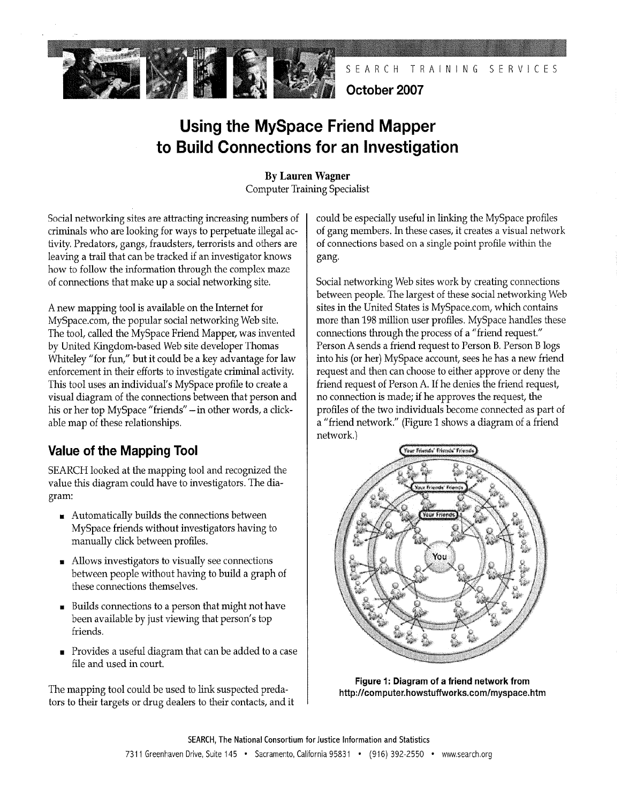

SEARCH TRAINING SERVICES

### October 2007

# Using the MySpace Friend Mapper to Build Connections for an Investigation

By Lauren Wagner **Computer Training Specialist** 

Social networking sites are attracting increasing numbers of criminals who are looking for ways to perpetuate ilegal activity. Predators, gangs, fraudsters, terrorists and others are leaving a trail that can be tracked if an investigator knows how to follow the information through the complex maze of connections that make up a social networking site.

A new mapping tool is available on the Internet for MySpace.com, the popular social networking Web site. The tool, called the MySpace Friend Mapper, was invented by United Kingdom-based Web site developer Thomas Whteley "for fun," but it could be a key advantage for law enforcement in their efforts to investigate crimial activity. This tool uses an individual's MySpace profie to create a visual diagram of the connections between that person and his or her top MySpace "friends" - in other words, a clickable map of these relationships.

# Value of the Mapping Tool

SEARCH looked at the mapping tool and recognized the value this diagram could have to investigators. The diagram:

- $\blacksquare$  Automatically builds the connections between MySpace friends without investigators having to manually click between profiles.
- . Allows investigators to visually see connections between people without having to build a graph of these connections themselves.
- . Builds connections to a person that might not have been available by just viewing that person's top friends.
- Provides a useful diagram that can be added to a case file and used in court.

The mapping tool could be used to link suspected predators to their targets or drug dealers to their contacts, and it could be especially useful in linking the MySpace profiles of gang members. In these cases, it creates a visual network of connections based on a single point profie within the gang.

Social networking Web sites work by creating connections between people. The largest of these social networking Web sites in the United States is MySpace.com, which contains more than 198 million user profiles. MySpace handles these connections through the process of a "friend request." Person A sends a friend request to Person B. Person B logs into his (or her) MySpace account, sees he has a new friend request and then can choose to either approve or deny the friend request of Person A. If he denies the friend request, no connection is made; if he approves the request, the profiles of the two individuals become connected as part of a "friend network." (Figure 1 shows a diagram of a friend network.)



Figure 1: Diagram of a friend network from http://computer.howstuffworks.com/myspace.htm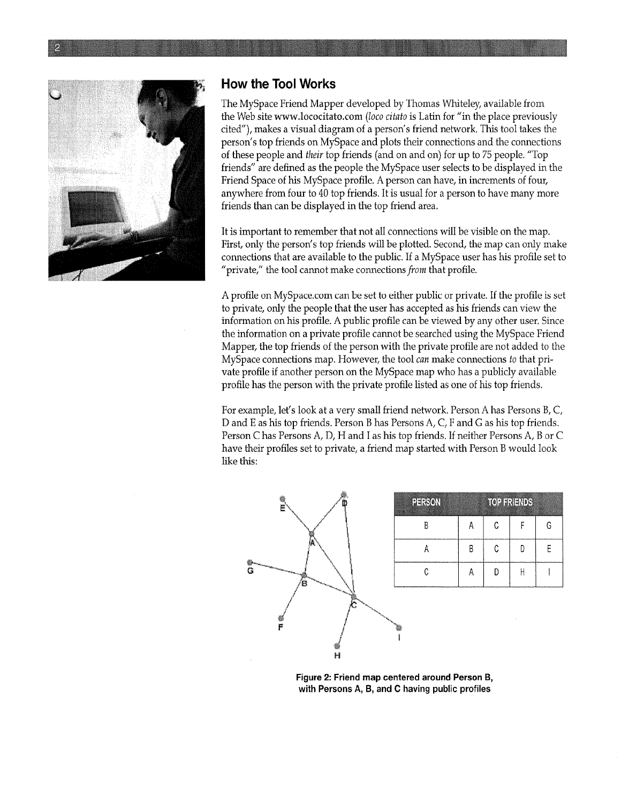

#### How the Tool Works

The MySpace Friend Mapper developed by Thomas Whteley, available from the Web site www.lococitato.com (loco citato is Latin for "in the place previously cited"), makes a visual diagram of a person's friend network. This tool takes the person's top friends on MySpace and plots their connections and the connections of these people and their top friends (and on and on) for up to 75 people. "Top friends" are defined as the people the MySpace user selects to be displayed in the Friend Space of his MySpace profie. A person can have, in increments of four, anywhere from four to 40 top friends. It is usual for a person to have many more friends than can be displayed in the top friend area.

It is important to remember that not all connections wil be visible on the map. First, only the person's top friends will be plotted. Second, the map can only make connections that are available to the public. If a MySpace user has his profie set to "private," the tool cannot make connections *from* that profile.

A profie on MySpace.com can be set to either public or private. If the profile is set to private, only the people that the user has accepted as his friends can view the information on his profile. A public profile can be viewed by any other user. Since the information on a private profile cannot be searched using the MySpace Friend Mapper, the top friends of the person with the private profile are not added to the MySpace connections map. However, the tool can make connections to that private profie if another person on the MySpace map who has a publicly available profile has the person with the private profie listed as one of his top friends.

For example, let's look at a very small friend network. Person A has Persons B, C, D and E as his top friends. Person B has Persons A, C, F and G as his top friends. Person C has Persons A, D, H and I as his top friends. If neither Persons A, B or C have their profiles set to private, a friend map started with Person B would look like ths:



| HHJON |   |   | <b>TORIALITY</b> |   |
|-------|---|---|------------------|---|
| B     | А | C | F                | G |
| А     | B | C | D                | E |
| C     |   | D |                  |   |
|       |   |   |                  |   |

Figure 2: Friend map centered around Person B, with Persons A, B, and C having public profiles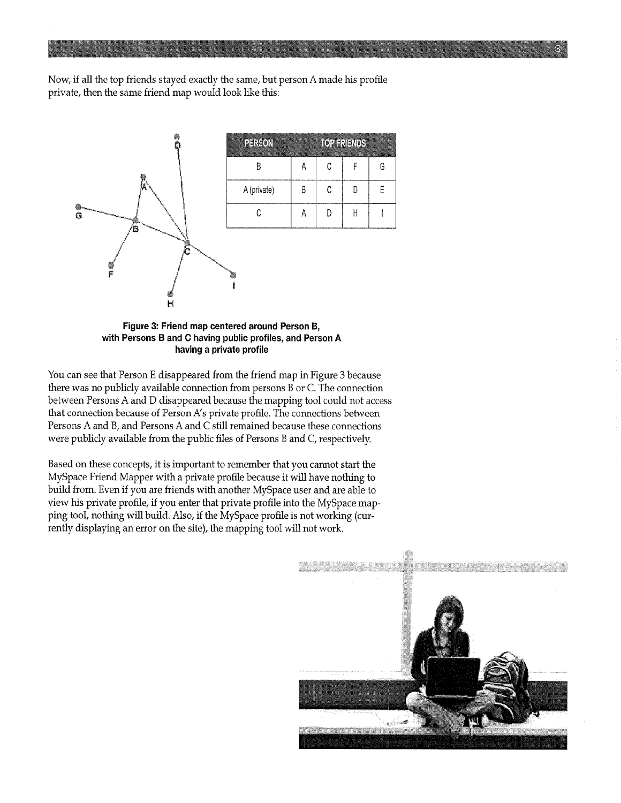Now, if all the top friends stayed exactly the same, but person A made his profie private, then the same friend map would look like ths:



Figure 3: Friend map centered around Person B, with Persons B and C having public profiles, and Person A having a private profile

You can see that Person E disappeared from the friend map in Figure 3 because there was no publicly available connection from persons B or C. The connection between Persons A and D disappeared because the mapping tool could not access that connection because of Person A's private profile. The connections between Persons A and B, and Persons A and C still remained because these connections were publicly available from the public files of Persons B and C, respectively.

Based on these concepts, it is important to remember that you cannot start the MySpace Friend Mapper with a private profile because it will have nothing to build from. Even if you are friends with another MySpace user and are able to view his private profile, if you enter that private profie into the MySpace mapping tool, nothing will build. Also, if the MySpace profile is not working (currently displaying an error on the site), the mapping tool will not work.

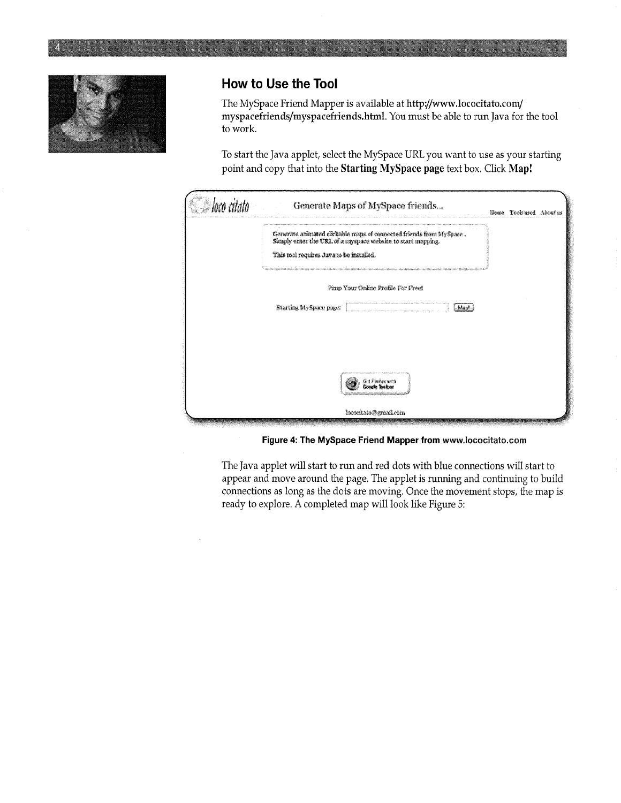

## How to Use the Tool

The MySpace Friend Mapper is available at http://www.lococitato.com/ myspacefriends/myspacefriends.html. You must be able to run Java for the tool to work.

To start the Java applet, select the MySpace URL you want to use as your starting point and copy that into the Starting MySpace page text box. Click Map!

|                                                                                                                                                                                                                                                      | Generate Maps of MySpace friends |  | Home Toolsused Aboutus |  |  |
|------------------------------------------------------------------------------------------------------------------------------------------------------------------------------------------------------------------------------------------------------|----------------------------------|--|------------------------|--|--|
| Generate animated clickable maps of connected friends from MySpace .<br>Simply enter the URL of a myspace website to start mapping.<br>This tool requires Java to be installed.<br>metro e comunication do constructo a comunicación de comunicación |                                  |  |                        |  |  |
| Pimp Your Online Profile For Free!<br>Starting MySpace page:<br>l Mark                                                                                                                                                                               |                                  |  |                        |  |  |
|                                                                                                                                                                                                                                                      |                                  |  |                        |  |  |
|                                                                                                                                                                                                                                                      |                                  |  |                        |  |  |
|                                                                                                                                                                                                                                                      | lococitato@gmail.com             |  |                        |  |  |

Figure 4: The MySpace Friend Mapper from www.lococitato.com

The Java applet will start to run and red dots with blue connections will start to appear and move around the page. The applet is running and continuing to build connections as long as the dots are moving. Once the movement stops, the map is ready to explore. A completed map will look like Figure 5: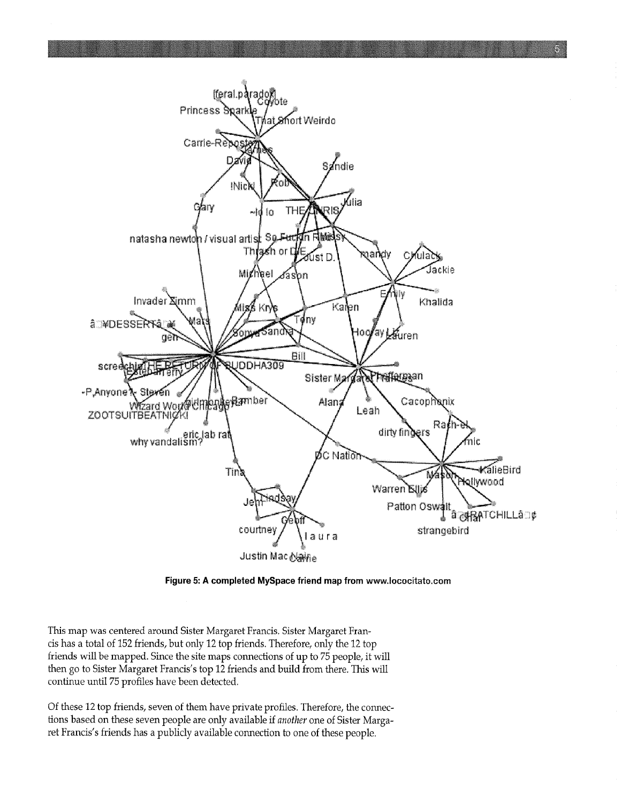

Figure 5: A completed MySpace friend map from www.lococítato.com

This map was centered around Sister Margaret Francis. Sister Margaret Francis has a total of 152 friends, but only 12 top friends. Therefore, only the 12 top friends will be mapped. Since the site maps connections of up to 75 people, it will then go to Sister Margaret Francis's top 12 friends and build from there. This will continue until 75 profiles have been detected.

Of these 12 top friends, seven of them have private profies. Therefore, the connections based on these seven people are only available if another one of Sister Margaret Francis's friends has a publicly available connection to one of these people.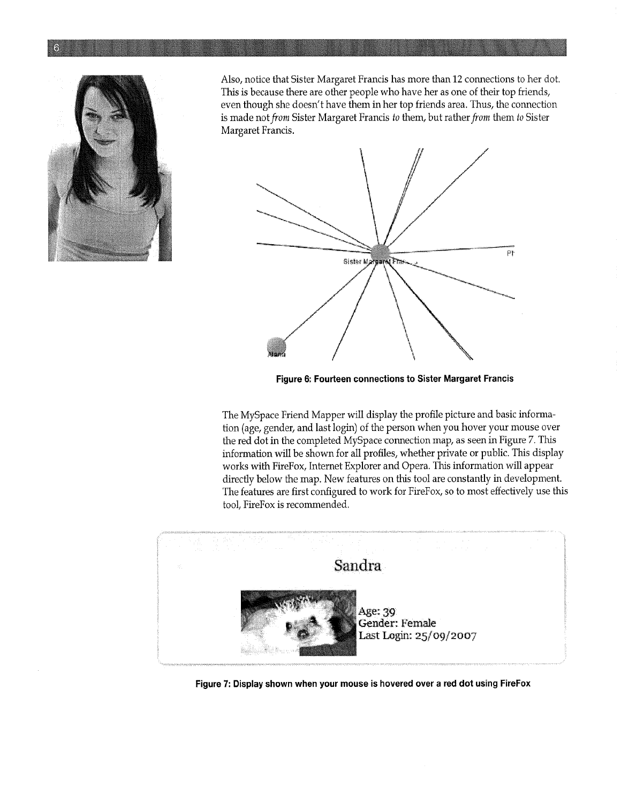

Also, notice that Sister Margaret Francis has more than 12 connections to her dot. This is because there are other people who have her as one of their top friends, even though she doesn't have them in her top friends area. Thus, the connection is made not from Sister Margaret Francis to them, but rather from them to Sister Margaret Francis.



Figure 6: Fourteen connections to Sister Margaret Francis

The MySpace Friend Mapper will display the profile picture and basic information (age, gender, and last login) of the person when you hover your mouse over the red dot in the completed MySpace connection map, as seen in Figure 7. This information will be shown for all profiles, whether private or public. This display works with FireFox, Internet Explorer and Opera. This information will appear directly below the map. New features on this tool are constantly in development. The features are first configured to work for FireFox, so to most effectively use this tool, FireFox is recommended.



Figure 7: Display shown when your mouse is hovered over a red dot using FireFox